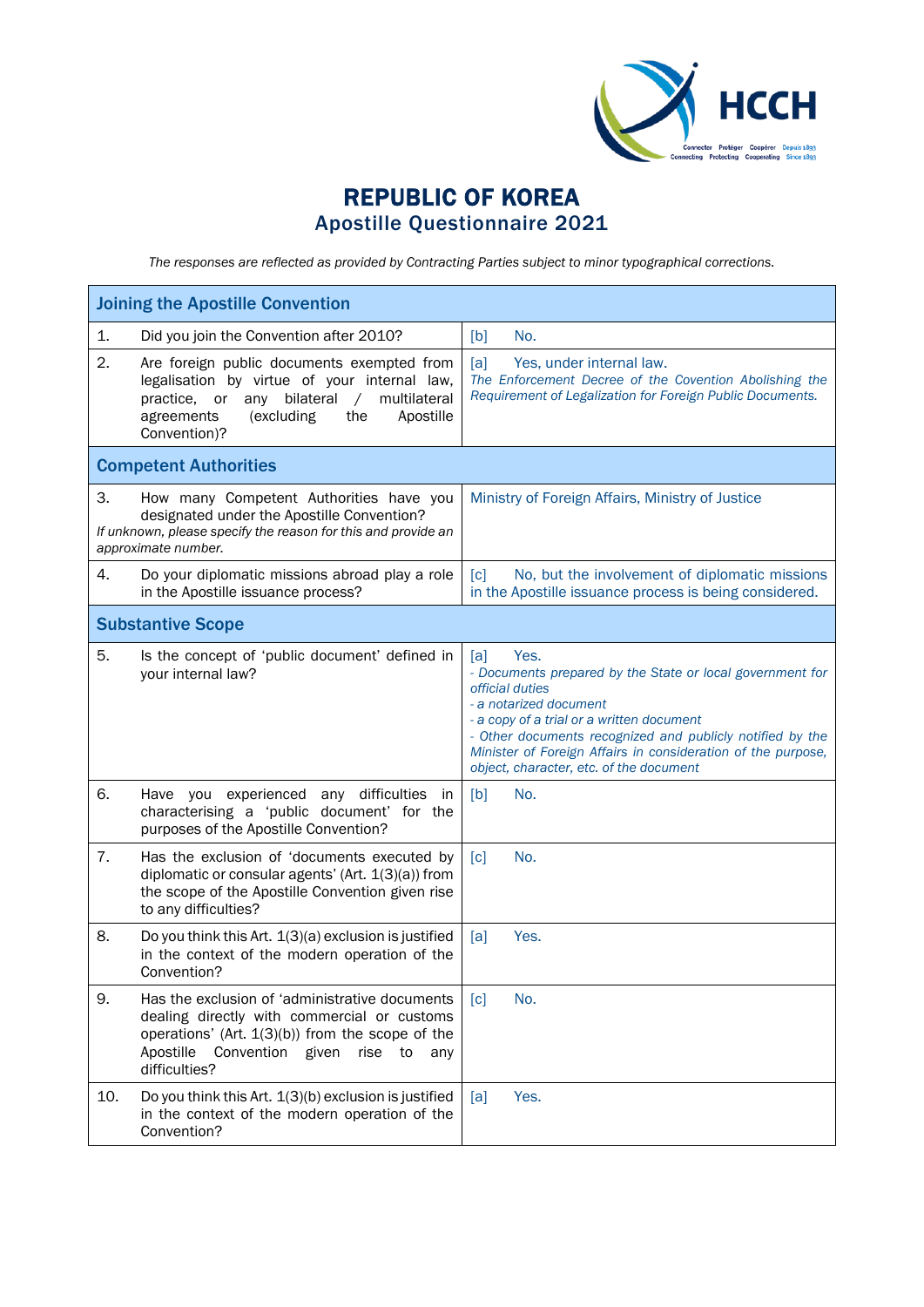

## REPUBLIC OF KOREA Apostille Questionnaire 2021

*The responses are reflected as provided by Contracting Parties subject to minor typographical corrections.*

| <b>Joining the Apostille Convention</b> |                                                                                                                                                                                                                              |                                                                                                                                                                                                                                                                                                                                            |  |
|-----------------------------------------|------------------------------------------------------------------------------------------------------------------------------------------------------------------------------------------------------------------------------|--------------------------------------------------------------------------------------------------------------------------------------------------------------------------------------------------------------------------------------------------------------------------------------------------------------------------------------------|--|
| 1.                                      | Did you join the Convention after 2010?                                                                                                                                                                                      | No.<br>[b]                                                                                                                                                                                                                                                                                                                                 |  |
| 2.                                      | Are foreign public documents exempted from<br>legalisation by virtue of your internal law,<br>any bilateral<br>multilateral<br>$\sqrt{2}$<br>practice,<br>or<br>(excluding<br>the<br>Apostille<br>agreements<br>Convention)? | [a]<br>Yes, under internal law.<br>The Enforcement Decree of the Covention Abolishing the<br>Requirement of Legalization for Foreign Public Documents.                                                                                                                                                                                     |  |
|                                         | <b>Competent Authorities</b>                                                                                                                                                                                                 |                                                                                                                                                                                                                                                                                                                                            |  |
| 3.                                      | How many Competent Authorities have you<br>designated under the Apostille Convention?<br>If unknown, please specify the reason for this and provide an<br>approximate number.                                                | Ministry of Foreign Affairs, Ministry of Justice                                                                                                                                                                                                                                                                                           |  |
| 4.                                      | Do your diplomatic missions abroad play a role<br>in the Apostille issuance process?                                                                                                                                         | [c]<br>No, but the involvement of diplomatic missions<br>in the Apostille issuance process is being considered.                                                                                                                                                                                                                            |  |
|                                         | <b>Substantive Scope</b>                                                                                                                                                                                                     |                                                                                                                                                                                                                                                                                                                                            |  |
| 5.                                      | Is the concept of 'public document' defined in<br>your internal law?                                                                                                                                                         | Yes.<br>[a]<br>- Documents prepared by the State or local government for<br>official duties<br>- a notarized document<br>- a copy of a trial or a written document<br>- Other documents recognized and publicly notified by the<br>Minister of Foreign Affairs in consideration of the purpose,<br>object, character, etc. of the document |  |
| 6.                                      | Have you experienced<br>any difficulties<br>in<br>characterising a 'public document' for the<br>purposes of the Apostille Convention?                                                                                        | [b]<br>No.                                                                                                                                                                                                                                                                                                                                 |  |
| 7.                                      | Has the exclusion of 'documents executed by<br>diplomatic or consular agents' (Art. 1(3)(a)) from<br>the scope of the Apostille Convention given rise<br>to any difficulties?                                                | $\lceil c \rceil$<br>No.                                                                                                                                                                                                                                                                                                                   |  |
| 8.                                      | Do you think this Art. 1(3)(a) exclusion is justified<br>in the context of the modern operation of the<br>Convention?                                                                                                        | Yes.<br>[a]                                                                                                                                                                                                                                                                                                                                |  |
| 9.                                      | Has the exclusion of 'administrative documents<br>dealing directly with commercial or customs<br>operations' (Art. $1(3)(b)$ ) from the scope of the<br>Apostille<br>Convention given<br>rise to<br>any<br>difficulties?     | No.<br>$\lceil c \rceil$                                                                                                                                                                                                                                                                                                                   |  |
| 10.                                     | Do you think this Art. 1(3)(b) exclusion is justified<br>in the context of the modern operation of the<br>Convention?                                                                                                        | Yes.<br>[a]                                                                                                                                                                                                                                                                                                                                |  |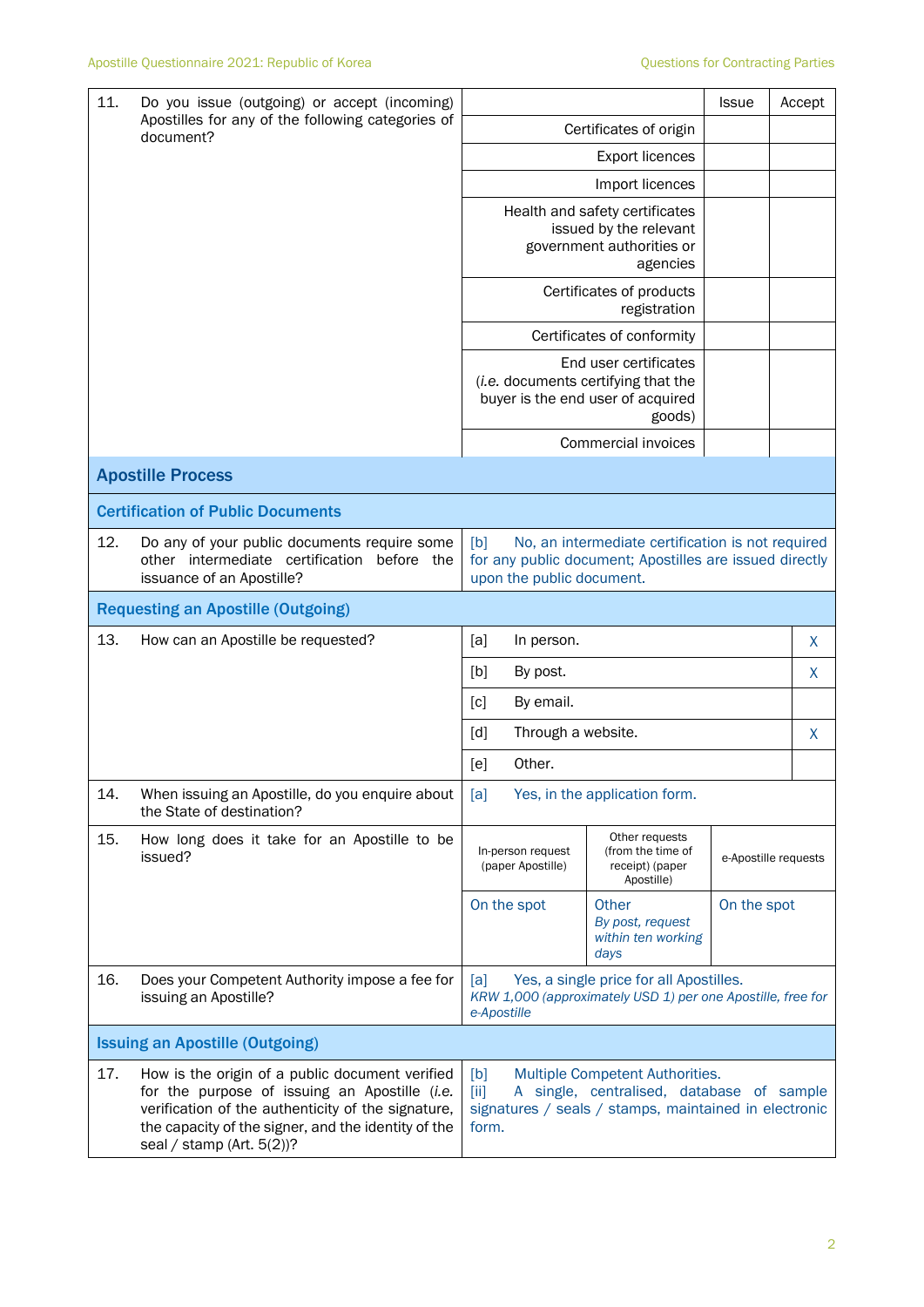| 11.                                      | Do you issue (outgoing) or accept (incoming)<br>Apostilles for any of the following categories of<br>document?                                                                                                                             |                                                                                                                                                                | <b>Issue</b>                                                                                                |                      | Accept |   |
|------------------------------------------|--------------------------------------------------------------------------------------------------------------------------------------------------------------------------------------------------------------------------------------------|----------------------------------------------------------------------------------------------------------------------------------------------------------------|-------------------------------------------------------------------------------------------------------------|----------------------|--------|---|
|                                          |                                                                                                                                                                                                                                            |                                                                                                                                                                | Certificates of origin                                                                                      |                      |        |   |
|                                          |                                                                                                                                                                                                                                            |                                                                                                                                                                | <b>Export licences</b>                                                                                      |                      |        |   |
|                                          |                                                                                                                                                                                                                                            |                                                                                                                                                                | Import licences                                                                                             |                      |        |   |
|                                          |                                                                                                                                                                                                                                            |                                                                                                                                                                | Health and safety certificates<br>issued by the relevant<br>government authorities or<br>agencies           |                      |        |   |
|                                          |                                                                                                                                                                                                                                            |                                                                                                                                                                | Certificates of products<br>registration                                                                    |                      |        |   |
|                                          |                                                                                                                                                                                                                                            |                                                                                                                                                                | Certificates of conformity                                                                                  |                      |        |   |
|                                          |                                                                                                                                                                                                                                            |                                                                                                                                                                | End user certificates<br>(i.e. documents certifying that the<br>buyer is the end user of acquired<br>goods) |                      |        |   |
|                                          |                                                                                                                                                                                                                                            |                                                                                                                                                                | Commercial invoices                                                                                         |                      |        |   |
|                                          | <b>Apostille Process</b>                                                                                                                                                                                                                   |                                                                                                                                                                |                                                                                                             |                      |        |   |
| <b>Certification of Public Documents</b> |                                                                                                                                                                                                                                            |                                                                                                                                                                |                                                                                                             |                      |        |   |
| 12.                                      | Do any of your public documents require some<br>other intermediate certification<br>before the<br>issuance of an Apostille?                                                                                                                | [b]<br>No, an intermediate certification is not required<br>for any public document; Apostilles are issued directly<br>upon the public document.               |                                                                                                             |                      |        |   |
|                                          | <b>Requesting an Apostille (Outgoing)</b>                                                                                                                                                                                                  |                                                                                                                                                                |                                                                                                             |                      |        |   |
| 13.                                      | How can an Apostille be requested?                                                                                                                                                                                                         | [a]<br>In person.                                                                                                                                              |                                                                                                             |                      |        | X |
|                                          |                                                                                                                                                                                                                                            | [b]<br>By post.                                                                                                                                                |                                                                                                             |                      |        | X |
|                                          |                                                                                                                                                                                                                                            | [c]<br>By email.                                                                                                                                               |                                                                                                             |                      |        |   |
|                                          |                                                                                                                                                                                                                                            | Through a website.<br>[d]                                                                                                                                      |                                                                                                             |                      | X      |   |
|                                          |                                                                                                                                                                                                                                            | Other.<br>[e]                                                                                                                                                  |                                                                                                             |                      |        |   |
| 14.                                      | When issuing an Apostille, do you enquire about<br>the State of destination?                                                                                                                                                               | [a]                                                                                                                                                            | Yes, in the application form.                                                                               |                      |        |   |
| 15.                                      | How long does it take for an Apostille to be<br>issued?                                                                                                                                                                                    | In-person request<br>(paper Apostille)                                                                                                                         | Other requests<br>(from the time of<br>receipt) (paper<br>Apostille)                                        | e-Apostille requests |        |   |
|                                          |                                                                                                                                                                                                                                            | On the spot                                                                                                                                                    | Other<br>By post, request<br>within ten working<br>days                                                     | On the spot          |        |   |
| 16.                                      | Does your Competent Authority impose a fee for<br>issuing an Apostille?                                                                                                                                                                    | [a]<br>e-Apostille                                                                                                                                             | Yes, a single price for all Apostilles.<br>KRW 1,000 (approximately USD 1) per one Apostille, free for      |                      |        |   |
|                                          | <b>Issuing an Apostille (Outgoing)</b>                                                                                                                                                                                                     |                                                                                                                                                                |                                                                                                             |                      |        |   |
| 17.                                      | How is the origin of a public document verified<br>for the purpose of issuing an Apostille (i.e.<br>verification of the authenticity of the signature,<br>the capacity of the signer, and the identity of the<br>seal / stamp (Art. 5(2))? | [b]<br>Multiple Competent Authorities.<br>[iii]<br>A single, centralised, database of sample<br>signatures / seals / stamps, maintained in electronic<br>form. |                                                                                                             |                      |        |   |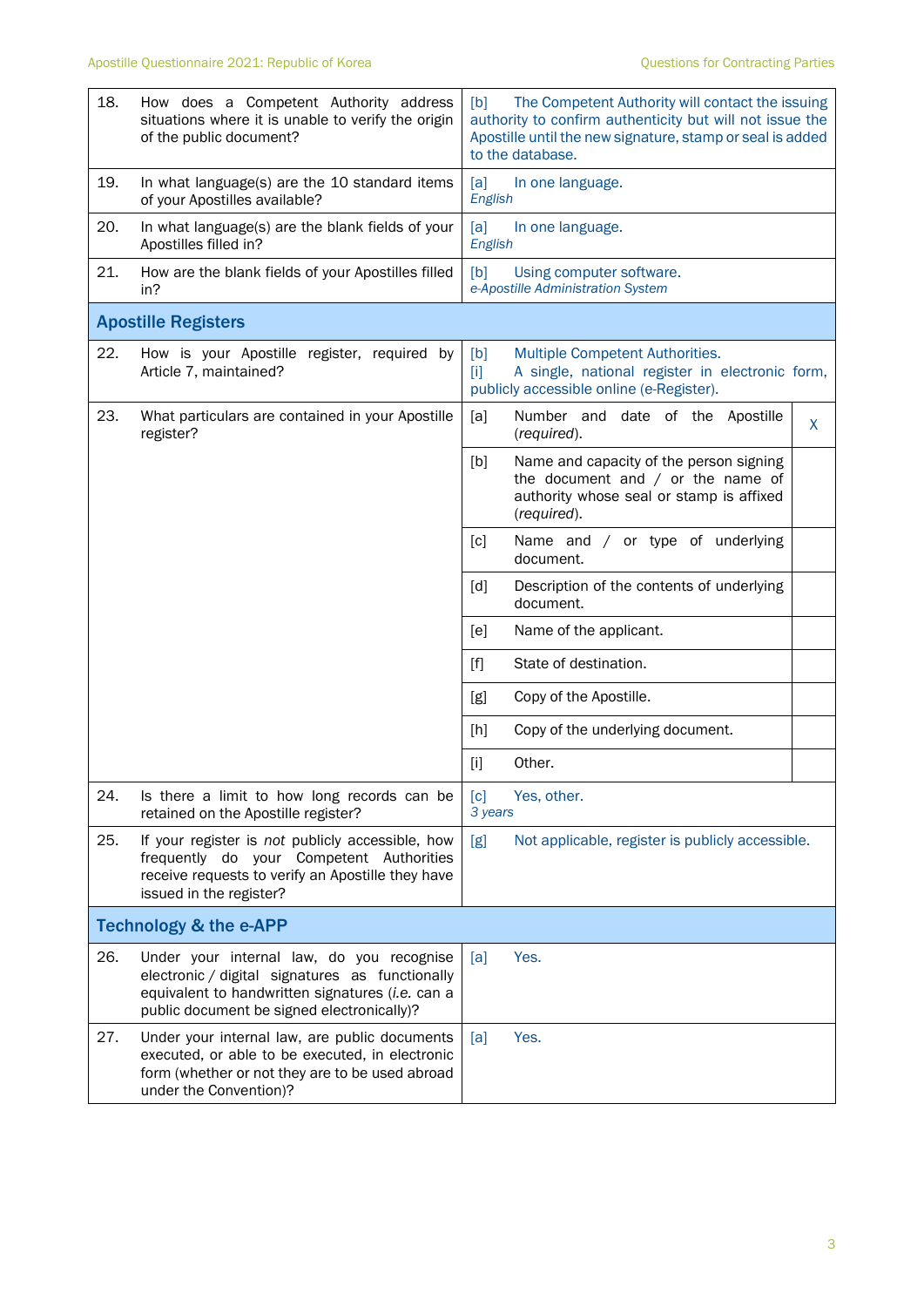| 18. | How does a Competent Authority address<br>situations where it is unable to verify the origin<br>of the public document?                                                                        | The Competent Authority will contact the issuing<br>[b]<br>authority to confirm authenticity but will not issue the<br>Apostille until the new signature, stamp or seal is added<br>to the database. |  |  |
|-----|------------------------------------------------------------------------------------------------------------------------------------------------------------------------------------------------|------------------------------------------------------------------------------------------------------------------------------------------------------------------------------------------------------|--|--|
| 19. | In what language(s) are the 10 standard items<br>of your Apostilles available?                                                                                                                 | [a]<br>In one language.<br>English                                                                                                                                                                   |  |  |
| 20. | In what language(s) are the blank fields of your<br>Apostilles filled in?                                                                                                                      | [a]<br>In one language.<br>English                                                                                                                                                                   |  |  |
| 21. | How are the blank fields of your Apostilles filled<br>in?                                                                                                                                      | Using computer software.<br>[b]<br>e-Apostille Administration System                                                                                                                                 |  |  |
|     | <b>Apostille Registers</b>                                                                                                                                                                     |                                                                                                                                                                                                      |  |  |
| 22. | How is your Apostille register, required by<br>Article 7, maintained?                                                                                                                          | Multiple Competent Authorities.<br>[b]<br>A single, national register in electronic form,<br>$[1]$<br>publicly accessible online (e-Register).                                                       |  |  |
| 23. | What particulars are contained in your Apostille<br>register?                                                                                                                                  | [a]<br>Number and date of the<br>Apostille<br>$\mathsf{X}$<br>(required).                                                                                                                            |  |  |
|     |                                                                                                                                                                                                | [b]<br>Name and capacity of the person signing<br>the document and $/$ or the name of<br>authority whose seal or stamp is affixed<br>(required).                                                     |  |  |
|     |                                                                                                                                                                                                | $\lceil c \rceil$<br>Name and / or type of underlying<br>document.                                                                                                                                   |  |  |
|     |                                                                                                                                                                                                | Description of the contents of underlying<br>[d]<br>document.                                                                                                                                        |  |  |
|     |                                                                                                                                                                                                | [e]<br>Name of the applicant.                                                                                                                                                                        |  |  |
|     |                                                                                                                                                                                                | State of destination.<br>$[f]$                                                                                                                                                                       |  |  |
|     |                                                                                                                                                                                                | Copy of the Apostille.<br>[g]                                                                                                                                                                        |  |  |
|     |                                                                                                                                                                                                | Copy of the underlying document.<br>[h]                                                                                                                                                              |  |  |
|     |                                                                                                                                                                                                | Other.<br>$[1]$                                                                                                                                                                                      |  |  |
| 24. | Is there a limit to how long records can be<br>retained on the Apostille register?                                                                                                             | Yes, other.<br>[c]<br>3 years                                                                                                                                                                        |  |  |
| 25. | If your register is not publicly accessible, how<br>frequently do your Competent Authorities<br>receive requests to verify an Apostille they have<br>issued in the register?                   | Not applicable, register is publicly accessible.<br>[g]                                                                                                                                              |  |  |
|     | <b>Technology &amp; the e-APP</b>                                                                                                                                                              |                                                                                                                                                                                                      |  |  |
| 26. | Under your internal law, do you recognise<br>electronic / digital signatures as functionally<br>equivalent to handwritten signatures (i.e. can a<br>public document be signed electronically)? | Yes.<br>[a]                                                                                                                                                                                          |  |  |
| 27. | Under your internal law, are public documents<br>executed, or able to be executed, in electronic<br>form (whether or not they are to be used abroad<br>under the Convention)?                  | Yes.<br>[a]                                                                                                                                                                                          |  |  |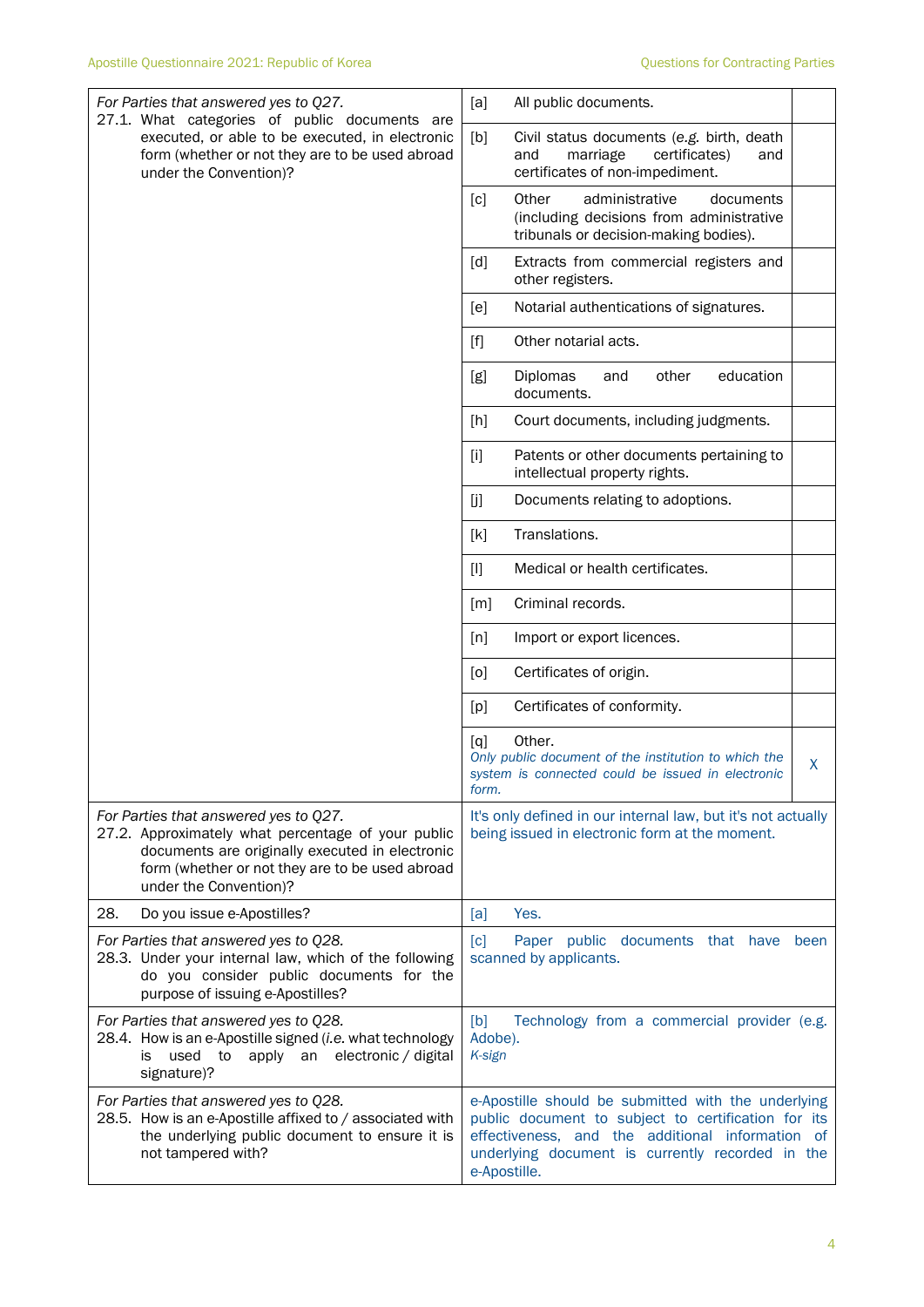| For Parties that answered yes to Q27.<br>27.1. What categories of public documents are                                                                                                                                      | [a]<br>All public documents.                                                                                                                                                                                                          |  |  |  |
|-----------------------------------------------------------------------------------------------------------------------------------------------------------------------------------------------------------------------------|---------------------------------------------------------------------------------------------------------------------------------------------------------------------------------------------------------------------------------------|--|--|--|
| executed, or able to be executed, in electronic<br>form (whether or not they are to be used abroad<br>under the Convention)?                                                                                                | [b]<br>Civil status documents (e.g. birth, death<br>and<br>marriage<br>certificates)<br>and<br>certificates of non-impediment.                                                                                                        |  |  |  |
|                                                                                                                                                                                                                             | Other<br>administrative<br>documents<br>[c]<br>(including decisions from administrative<br>tribunals or decision-making bodies).                                                                                                      |  |  |  |
|                                                                                                                                                                                                                             | [d]<br>Extracts from commercial registers and<br>other registers.                                                                                                                                                                     |  |  |  |
|                                                                                                                                                                                                                             | [e]<br>Notarial authentications of signatures.                                                                                                                                                                                        |  |  |  |
|                                                                                                                                                                                                                             | Other notarial acts.<br>$[f]$                                                                                                                                                                                                         |  |  |  |
|                                                                                                                                                                                                                             | education<br>Diplomas<br>other<br>[g]<br>and<br>documents.                                                                                                                                                                            |  |  |  |
|                                                                                                                                                                                                                             | [h]<br>Court documents, including judgments.                                                                                                                                                                                          |  |  |  |
|                                                                                                                                                                                                                             | Patents or other documents pertaining to<br>$[1]$<br>intellectual property rights.                                                                                                                                                    |  |  |  |
|                                                                                                                                                                                                                             | [j]<br>Documents relating to adoptions.                                                                                                                                                                                               |  |  |  |
|                                                                                                                                                                                                                             | Translations.<br>[k]                                                                                                                                                                                                                  |  |  |  |
|                                                                                                                                                                                                                             | $[1]$<br>Medical or health certificates.                                                                                                                                                                                              |  |  |  |
|                                                                                                                                                                                                                             | Criminal records.<br>[m]                                                                                                                                                                                                              |  |  |  |
|                                                                                                                                                                                                                             | [n]<br>Import or export licences.                                                                                                                                                                                                     |  |  |  |
|                                                                                                                                                                                                                             | Certificates of origin.<br>[0]                                                                                                                                                                                                        |  |  |  |
|                                                                                                                                                                                                                             | Certificates of conformity.<br>[p]                                                                                                                                                                                                    |  |  |  |
|                                                                                                                                                                                                                             | Other.<br>$\lceil q \rceil$<br>Only public document of the institution to which the<br>$\mathsf{X}$<br>system is connected could be issued in electronic<br>form.                                                                     |  |  |  |
| For Parties that answered yes to Q27.<br>27.2. Approximately what percentage of your public<br>documents are originally executed in electronic<br>form (whether or not they are to be used abroad<br>under the Convention)? | It's only defined in our internal law, but it's not actually<br>being issued in electronic form at the moment.                                                                                                                        |  |  |  |
| 28.<br>Do you issue e-Apostilles?                                                                                                                                                                                           | Yes.<br>[a]                                                                                                                                                                                                                           |  |  |  |
| For Parties that answered yes to Q28.<br>28.3. Under your internal law, which of the following<br>do you consider public documents for the<br>purpose of issuing e-Apostilles?                                              | Paper public documents that have<br>$\lceil c \rceil$<br>been<br>scanned by applicants.                                                                                                                                               |  |  |  |
| For Parties that answered yes to Q28.<br>28.4. How is an e-Apostille signed (i.e. what technology<br>apply an<br>electronic / digital<br>used to<br>İS.<br>signature)?                                                      | [b]<br>Technology from a commercial provider (e.g.<br>Adobe).<br>K-sign                                                                                                                                                               |  |  |  |
| For Parties that answered yes to Q28.<br>28.5. How is an e-Apostille affixed to / associated with<br>the underlying public document to ensure it is<br>not tampered with?                                                   | e-Apostille should be submitted with the underlying<br>public document to subject to certification for its<br>effectiveness, and the additional information<br>0f<br>underlying document is currently recorded in the<br>e-Apostille. |  |  |  |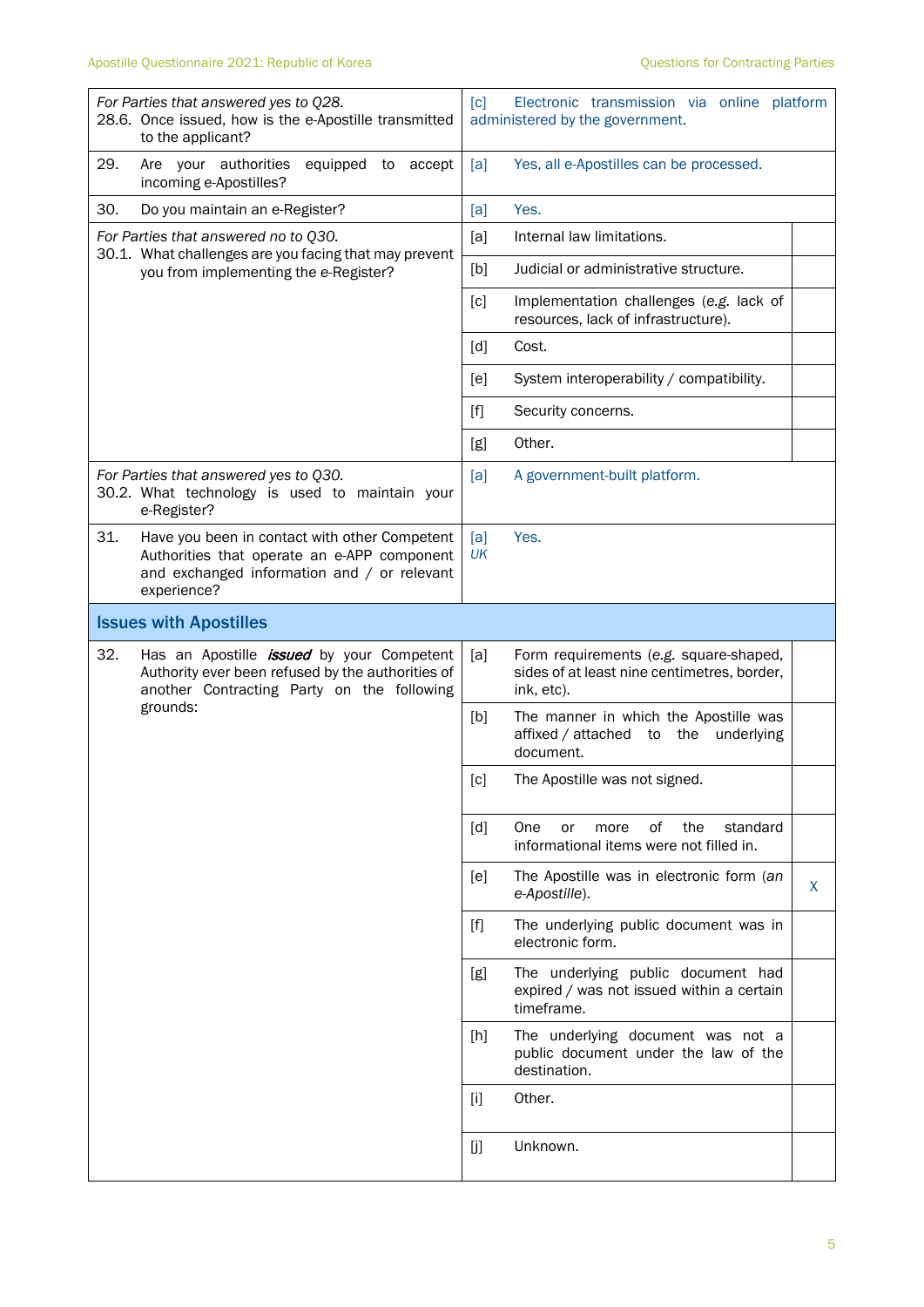| For Parties that answered yes to Q28.<br>28.6. Once issued, how is the e-Apostille transmitted<br>to the applicant?                                               | [c]<br>Electronic transmission via online platform<br>administered by the government.                      |
|-------------------------------------------------------------------------------------------------------------------------------------------------------------------|------------------------------------------------------------------------------------------------------------|
| 29.<br>Are your authorities<br>equipped to<br>accept<br>incoming e-Apostilles?                                                                                    | Yes, all e-Apostilles can be processed.<br>[a]                                                             |
| 30.<br>Do you maintain an e-Register?                                                                                                                             | Yes.<br>[a]                                                                                                |
| For Parties that answered no to Q30.<br>30.1. What challenges are you facing that may prevent                                                                     | Internal law limitations.<br>[a]                                                                           |
| you from implementing the e-Register?                                                                                                                             | Judicial or administrative structure.<br>[b]                                                               |
|                                                                                                                                                                   | [c]<br>Implementation challenges (e.g. lack of<br>resources, lack of infrastructure).                      |
|                                                                                                                                                                   | $\lceil d \rceil$<br>Cost.                                                                                 |
|                                                                                                                                                                   | System interoperability / compatibility.<br>[e]                                                            |
|                                                                                                                                                                   | $[f]$<br>Security concerns.                                                                                |
|                                                                                                                                                                   | Other.<br>[g]                                                                                              |
| For Parties that answered yes to Q30.<br>30.2. What technology is used to maintain your<br>e-Register?                                                            | [a]<br>A government-built platform.                                                                        |
| 31.<br>Have you been in contact with other Competent<br>Authorities that operate an e-APP component<br>and exchanged information and / or relevant<br>experience? | Yes.<br>[a]<br>UK                                                                                          |
| <b>Issues with Apostilles</b>                                                                                                                                     |                                                                                                            |
| 32.<br>Has an Apostille <i>issued</i> by your Competent<br>Authority ever been refused by the authorities of<br>another Contracting Party on the following        | [a]<br>Form requirements (e.g. square-shaped,<br>sides of at least nine centimetres, border,<br>ink, etc). |
| grounds:                                                                                                                                                          | The manner in which the Apostille was<br>[b]<br>affixed / attached<br>the<br>underlying<br>to<br>document. |
|                                                                                                                                                                   | $[{\rm c}]$<br>The Apostille was not signed.                                                               |
|                                                                                                                                                                   | of<br>the<br>[d]<br><b>One</b><br>or<br>more<br>standard<br>informational items were not filled in.        |
|                                                                                                                                                                   | The Apostille was in electronic form (an<br>[e]<br>X<br>e-Apostille).                                      |
|                                                                                                                                                                   | The underlying public document was in<br>$[f]$<br>electronic form.                                         |
|                                                                                                                                                                   | The underlying public document had<br>[g]<br>expired / was not issued within a certain<br>timeframe.       |
|                                                                                                                                                                   | The underlying document was not a<br>[h]<br>public document under the law of the<br>destination.           |
|                                                                                                                                                                   | Other.<br>$[1]$                                                                                            |
|                                                                                                                                                                   | Unknown.<br>[j]                                                                                            |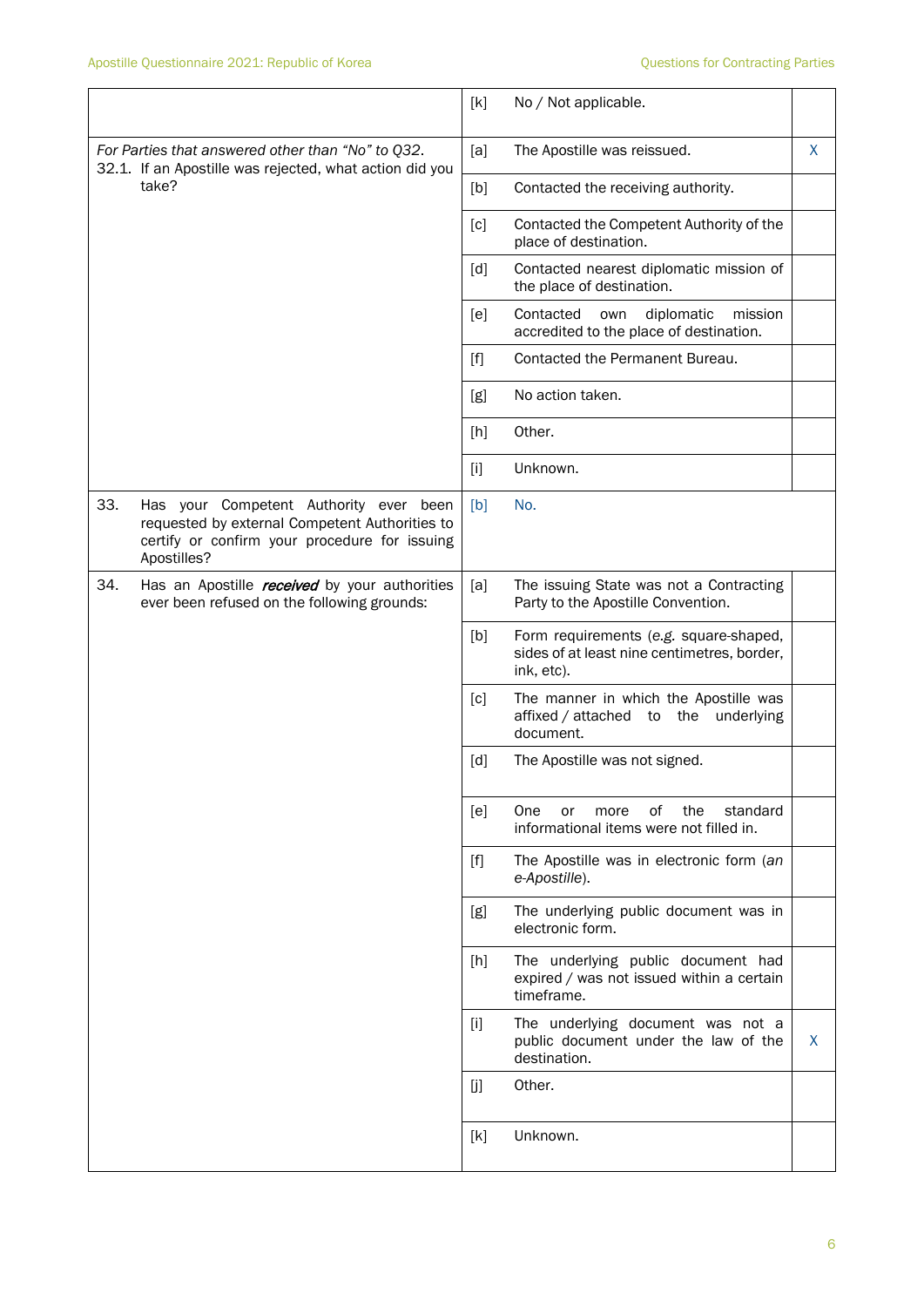|                                                                                                                       |                                                                                                                                                          | [k]   | No / Not applicable.                                                                                |   |
|-----------------------------------------------------------------------------------------------------------------------|----------------------------------------------------------------------------------------------------------------------------------------------------------|-------|-----------------------------------------------------------------------------------------------------|---|
| For Parties that answered other than "No" to Q32.<br>32.1. If an Apostille was rejected, what action did you<br>take? |                                                                                                                                                          | [a]   | The Apostille was reissued.                                                                         | X |
|                                                                                                                       |                                                                                                                                                          | [b]   | Contacted the receiving authority.                                                                  |   |
|                                                                                                                       |                                                                                                                                                          | [c]   | Contacted the Competent Authority of the<br>place of destination.                                   |   |
|                                                                                                                       |                                                                                                                                                          | [d]   | Contacted nearest diplomatic mission of<br>the place of destination.                                |   |
|                                                                                                                       |                                                                                                                                                          | [e]   | Contacted<br>diplomatic<br>mission<br>own<br>accredited to the place of destination.                |   |
|                                                                                                                       |                                                                                                                                                          | $[f]$ | Contacted the Permanent Bureau.                                                                     |   |
|                                                                                                                       |                                                                                                                                                          | [g]   | No action taken.                                                                                    |   |
|                                                                                                                       |                                                                                                                                                          | [h]   | Other.                                                                                              |   |
|                                                                                                                       |                                                                                                                                                          | [i]   | Unknown.                                                                                            |   |
| 33.                                                                                                                   | Has your Competent Authority ever been<br>requested by external Competent Authorities to<br>certify or confirm your procedure for issuing<br>Apostilles? | [b]   | No.                                                                                                 |   |
| 34.                                                                                                                   | Has an Apostille <i>received</i> by your authorities<br>ever been refused on the following grounds:                                                      | [a]   | The issuing State was not a Contracting<br>Party to the Apostille Convention.                       |   |
|                                                                                                                       |                                                                                                                                                          | [b]   | Form requirements (e.g. square-shaped,<br>sides of at least nine centimetres, border,<br>ink, etc). |   |
|                                                                                                                       |                                                                                                                                                          | [c]   | The manner in which the Apostille was<br>affixed / attached<br>to the<br>underlying<br>document.    |   |
|                                                                                                                       |                                                                                                                                                          | [d]   | The Apostille was not signed.                                                                       |   |
|                                                                                                                       |                                                                                                                                                          | [e]   | of<br>One<br>the<br>standard<br>or<br>more<br>informational items were not filled in.               |   |
|                                                                                                                       |                                                                                                                                                          | $[f]$ | The Apostille was in electronic form (an<br>e-Apostille).                                           |   |
|                                                                                                                       |                                                                                                                                                          | [g]   | The underlying public document was in<br>electronic form.                                           |   |
|                                                                                                                       |                                                                                                                                                          | [h]   | The underlying public document had<br>expired / was not issued within a certain<br>timeframe.       |   |
|                                                                                                                       |                                                                                                                                                          | $[1]$ | The underlying document was not a<br>public document under the law of the<br>destination.           | X |
|                                                                                                                       |                                                                                                                                                          | [j]   | Other.                                                                                              |   |
|                                                                                                                       |                                                                                                                                                          | [k]   | Unknown.                                                                                            |   |